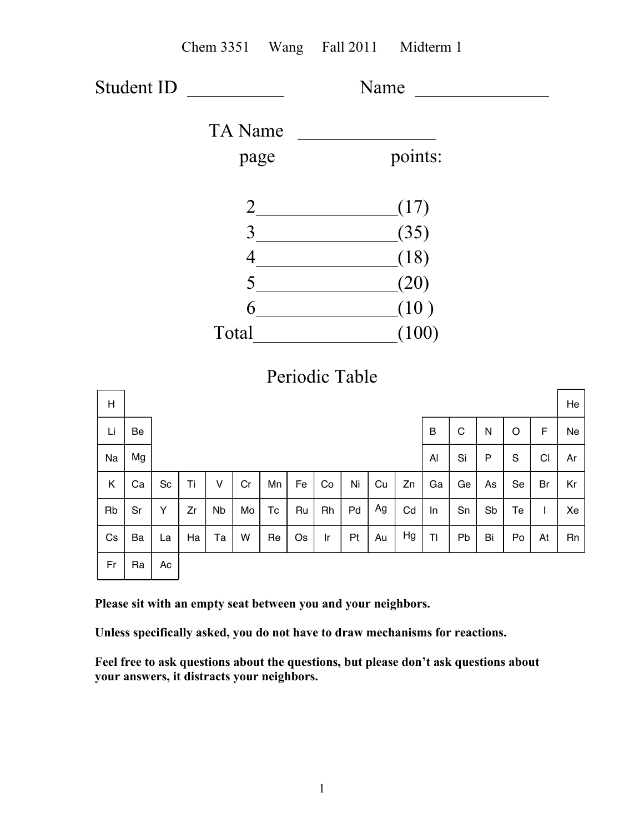|    |    |                              |                    | Chem 3351 Wang Fall 2011 Midterm 1 |                |                        |       |                                          |           |    |    |    |             |           |             |              |    |
|----|----|------------------------------|--------------------|------------------------------------|----------------|------------------------|-------|------------------------------------------|-----------|----|----|----|-------------|-----------|-------------|--------------|----|
|    |    |                              | Student ID<br>Name |                                    |                |                        |       |                                          |           |    |    |    |             |           |             |              |    |
|    |    |                              |                    |                                    | <b>TA</b> Name |                        |       |                                          |           |    |    |    |             |           |             |              |    |
|    |    |                              | page               |                                    |                |                        |       | points:                                  |           |    |    |    |             |           |             |              |    |
|    |    |                              |                    |                                    |                |                        | (17)  |                                          |           |    |    |    |             |           |             |              |    |
|    |    |                              |                    |                                    |                |                        |       |                                          | 3<br>(35) |    |    |    |             |           |             |              |    |
|    |    |                              |                    |                                    |                |                        |       | (18)<br>$4 \overline{\phantom{1372111}}$ |           |    |    |    |             |           |             |              |    |
|    |    |                              |                    |                                    |                |                        |       | 5<br>(20)                                |           |    |    |    |             |           |             |              |    |
|    |    |                              |                    | $6 \t (10)$                        |                |                        |       |                                          |           |    |    |    |             |           |             |              |    |
|    |    |                              |                    |                                    |                |                        | (100) |                                          |           |    |    |    |             |           |             |              |    |
|    |    |                              |                    |                                    |                |                        |       | Periodic Table                           |           |    |    |    |             |           |             |              |    |
| H  |    |                              |                    |                                    |                |                        |       |                                          |           |    |    |    |             |           |             |              | He |
| Li | Be |                              |                    |                                    |                |                        |       |                                          |           |    |    | B  | $\mathsf C$ | N         | $\mathsf O$ | F            | Ne |
| Na | Mg |                              |                    |                                    |                |                        |       |                                          |           |    |    | Al | Si          | ${\sf P}$ | S           | CI           | Ar |
| K  | Ca | $\operatorname{\mathsf{Sc}}$ | Ti                 | $\sf V$                            | Cr             | Mn                     | Fe    | Co                                       | Ni        | Cu | Zn | Ga | Ge          | As        | Se          | Br           | Kr |
| Rb | Sr | Y                            | Zr                 | <b>Nb</b>                          | Mo             | $\mathsf{T}\mathsf{c}$ | Ru    | Rh                                       | Pd        | Ag | Cd | In | Sn          | Sb        | Te          | $\mathsf{I}$ | Xe |

**Please sit with an empty seat between you and your neighbors.**

Re

Ha

Ta

W

Cs

Ba

La

Ac

Ra

Fr

**Unless specifically asked, you do not have to draw mechanisms for reactions.**

Os

Ir

Pt

Au

Hg

Tl

Pb

Bi

Po

At

Rn

**Feel free to ask questions about the questions, but please don't ask questions about your answers, it distracts your neighbors.**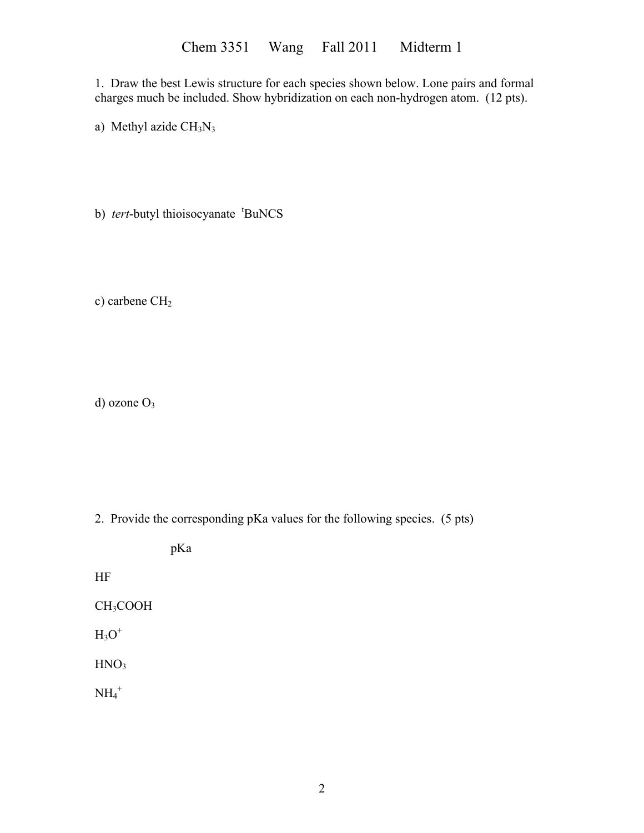1. Draw the best Lewis structure for each species shown below. Lone pairs and formal charges much be included. Show hybridization on each non-hydrogen atom. (12 pts).

a) Methyl azide  $CH<sub>3</sub>N<sub>3</sub>$ 

b) *tert*-butyl thioisocyanate <sup>t</sup>BuNCS

c) carbene CH<sub>2</sub>

d) ozone O<sub>3</sub>

2. Provide the corresponding pKa values for the following species. (5 pts)

HF CH3COOH  $H_3O^+$ 

pKa

 $HNO<sub>3</sub>$ 

 $NH_4^+$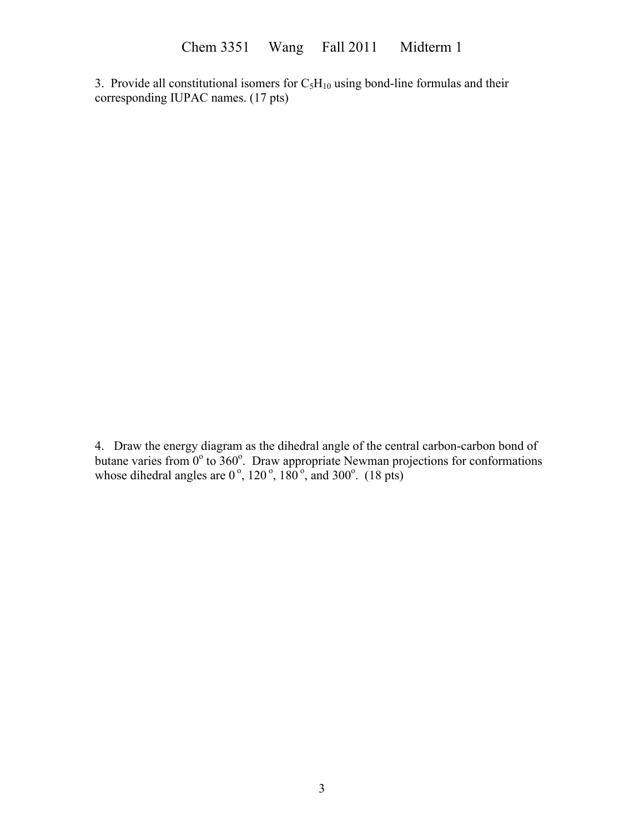3. Provide all constitutional isomers for  $C_5H_{10}$  using bond-line formulas and their corresponding IUPAC names. (17 pts)

4. Draw the energy diagram as the dihedral angle of the central carbon-carbon bond of butane varies from  $0^{\circ}$  to  $360^{\circ}$ . Draw appropriate Newman projections for conformations whose dihedral angles are  $0^\circ$ ,  $120^\circ$ ,  $180^\circ$ , and  $300^\circ$ . (18 pts)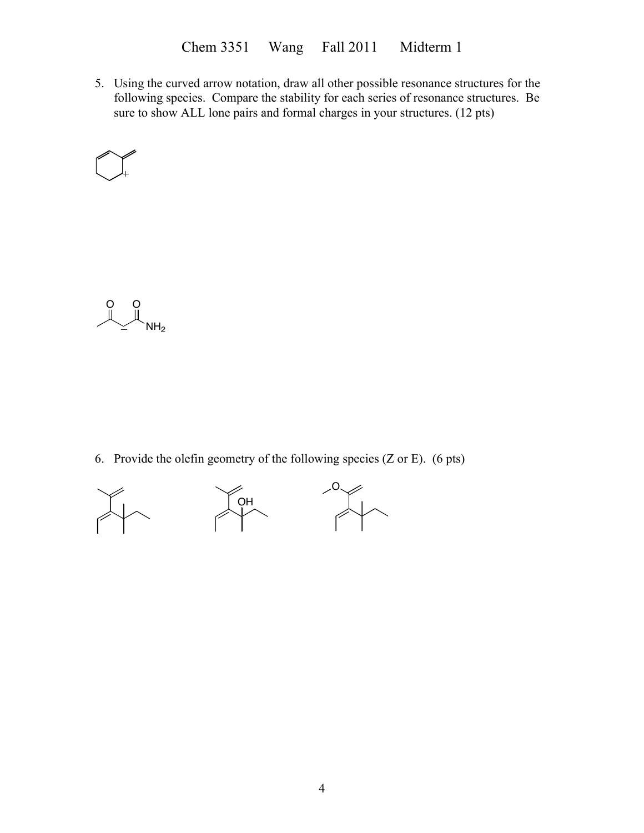Chem 3351 Wang Fall 2011 Midterm 1

5. Using the curved arrow notation, draw all other possible resonance structures for the following species. Compare the stability for each series of resonance structures. Be sure to show ALL lone pairs and formal charges in your structures. (12 pts)





6. Provide the olefin geometry of the following species (Z or E). (6 pts)

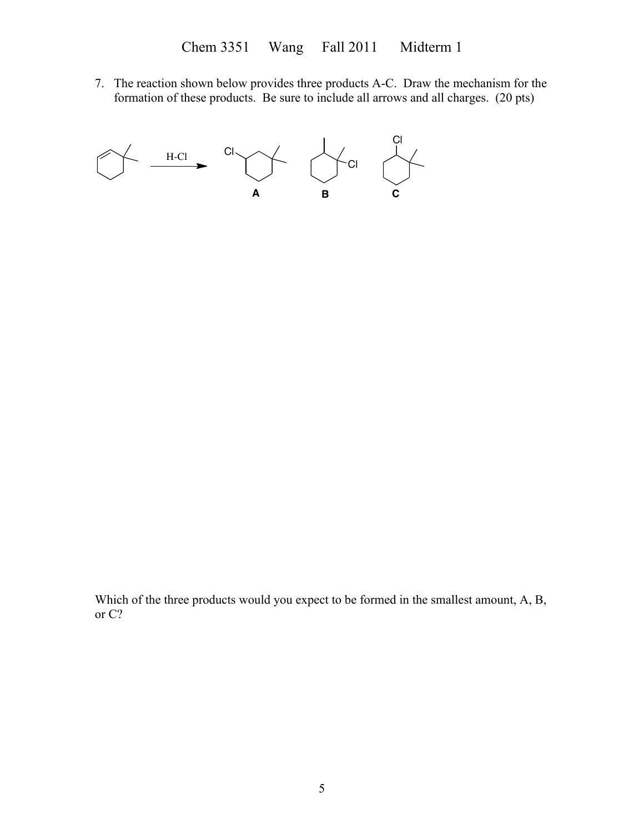7. The reaction shown below provides three products A-C. Draw the mechanism for the formation of these products. Be sure to include all arrows and all charges. (20 pts)



Which of the three products would you expect to be formed in the smallest amount, A, B, or C?